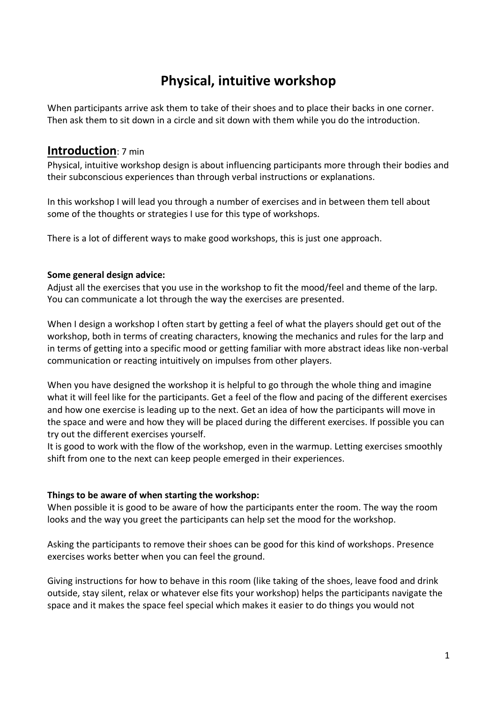# **Physical, intuitive workshop**

When participants arrive ask them to take of their shoes and to place their backs in one corner. Then ask them to sit down in a circle and sit down with them while you do the introduction.

# **Introduction**: 7 min

Physical, intuitive workshop design is about influencing participants more through their bodies and their subconscious experiences than through verbal instructions or explanations.

In this workshop I will lead you through a number of exercises and in between them tell about some of the thoughts or strategies I use for this type of workshops.

There is a lot of different ways to make good workshops, this is just one approach.

# **Some general design advice:**

Adjust all the exercises that you use in the workshop to fit the mood/feel and theme of the larp. You can communicate a lot through the way the exercises are presented.

When I design a workshop I often start by getting a feel of what the players should get out of the workshop, both in terms of creating characters, knowing the mechanics and rules for the larp and in terms of getting into a specific mood or getting familiar with more abstract ideas like non-verbal communication or reacting intuitively on impulses from other players.

When you have designed the workshop it is helpful to go through the whole thing and imagine what it will feel like for the participants. Get a feel of the flow and pacing of the different exercises and how one exercise is leading up to the next. Get an idea of how the participants will move in the space and were and how they will be placed during the different exercises. If possible you can try out the different exercises yourself.

It is good to work with the flow of the workshop, even in the warmup. Letting exercises smoothly shift from one to the next can keep people emerged in their experiences.

# **Things to be aware of when starting the workshop:**

When possible it is good to be aware of how the participants enter the room. The way the room looks and the way you greet the participants can help set the mood for the workshop.

Asking the participants to remove their shoes can be good for this kind of workshops. Presence exercises works better when you can feel the ground.

Giving instructions for how to behave in this room (like taking of the shoes, leave food and drink outside, stay silent, relax or whatever else fits your workshop) helps the participants navigate the space and it makes the space feel special which makes it easier to do things you would not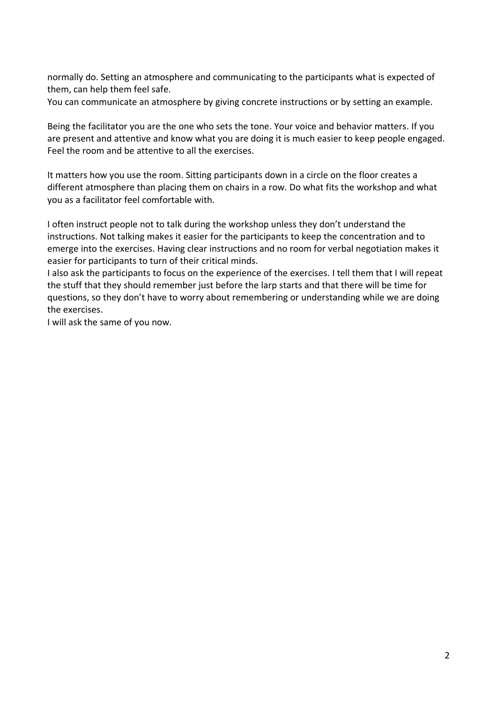normally do. Setting an atmosphere and communicating to the participants what is expected of them, can help them feel safe.

You can communicate an atmosphere by giving concrete instructions or by setting an example.

Being the facilitator you are the one who sets the tone. Your voice and behavior matters. If you are present and attentive and know what you are doing it is much easier to keep people engaged. Feel the room and be attentive to all the exercises.

It matters how you use the room. Sitting participants down in a circle on the floor creates a different atmosphere than placing them on chairs in a row. Do what fits the workshop and what you as a facilitator feel comfortable with.

I often instruct people not to talk during the workshop unless they don't understand the instructions. Not talking makes it easier for the participants to keep the concentration and to emerge into the exercises. Having clear instructions and no room for verbal negotiation makes it easier for participants to turn of their critical minds.

I also ask the participants to focus on the experience of the exercises. I tell them that I will repeat the stuff that they should remember just before the larp starts and that there will be time for questions, so they don't have to worry about remembering or understanding while we are doing the exercises.

I will ask the same of you now.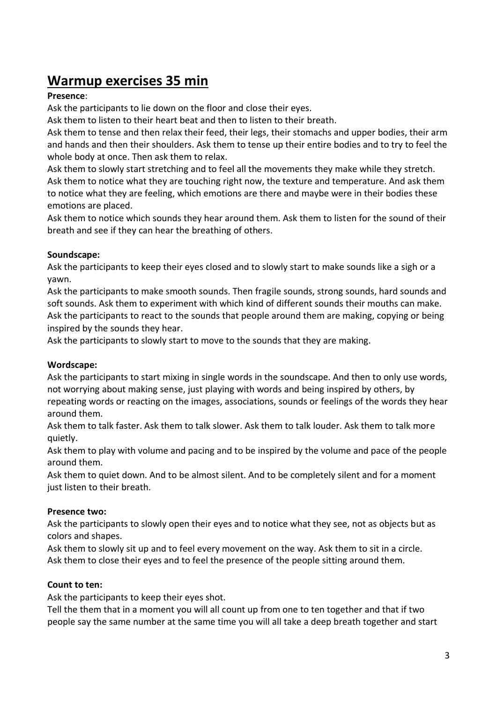# **Warmup exercises 35 min**

# **Presence**:

Ask the participants to lie down on the floor and close their eyes.

Ask them to listen to their heart beat and then to listen to their breath.

Ask them to tense and then relax their feed, their legs, their stomachs and upper bodies, their arm and hands and then their shoulders. Ask them to tense up their entire bodies and to try to feel the whole body at once. Then ask them to relax.

Ask them to slowly start stretching and to feel all the movements they make while they stretch. Ask them to notice what they are touching right now, the texture and temperature. And ask them to notice what they are feeling, which emotions are there and maybe were in their bodies these emotions are placed.

Ask them to notice which sounds they hear around them. Ask them to listen for the sound of their breath and see if they can hear the breathing of others.

# **Soundscape:**

Ask the participants to keep their eyes closed and to slowly start to make sounds like a sigh or a yawn.

Ask the participants to make smooth sounds. Then fragile sounds, strong sounds, hard sounds and soft sounds. Ask them to experiment with which kind of different sounds their mouths can make. Ask the participants to react to the sounds that people around them are making, copying or being inspired by the sounds they hear.

Ask the participants to slowly start to move to the sounds that they are making.

# **Wordscape:**

Ask the participants to start mixing in single words in the soundscape. And then to only use words, not worrying about making sense, just playing with words and being inspired by others, by repeating words or reacting on the images, associations, sounds or feelings of the words they hear around them.

Ask them to talk faster. Ask them to talk slower. Ask them to talk louder. Ask them to talk more quietly.

Ask them to play with volume and pacing and to be inspired by the volume and pace of the people around them.

Ask them to quiet down. And to be almost silent. And to be completely silent and for a moment just listen to their breath.

# **Presence two:**

Ask the participants to slowly open their eyes and to notice what they see, not as objects but as colors and shapes.

Ask them to slowly sit up and to feel every movement on the way. Ask them to sit in a circle. Ask them to close their eyes and to feel the presence of the people sitting around them.

# **Count to ten:**

Ask the participants to keep their eyes shot.

Tell the them that in a moment you will all count up from one to ten together and that if two people say the same number at the same time you will all take a deep breath together and start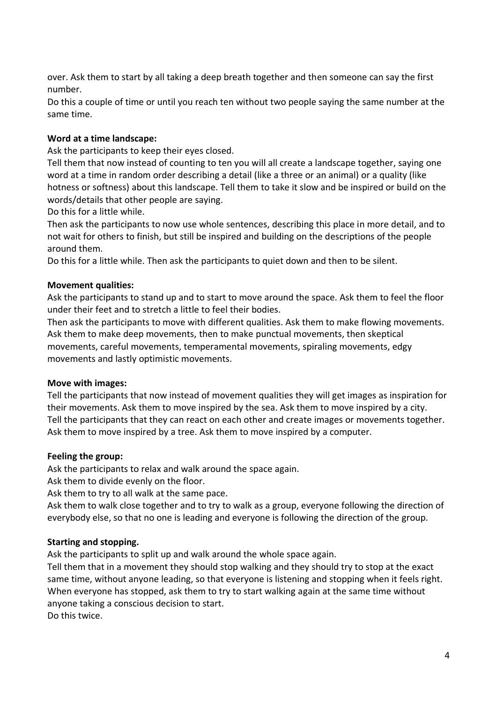over. Ask them to start by all taking a deep breath together and then someone can say the first number.

Do this a couple of time or until you reach ten without two people saying the same number at the same time.

# **Word at a time landscape:**

Ask the participants to keep their eyes closed.

Tell them that now instead of counting to ten you will all create a landscape together, saying one word at a time in random order describing a detail (like a three or an animal) or a quality (like hotness or softness) about this landscape. Tell them to take it slow and be inspired or build on the words/details that other people are saying.

Do this for a little while.

Then ask the participants to now use whole sentences, describing this place in more detail, and to not wait for others to finish, but still be inspired and building on the descriptions of the people around them.

Do this for a little while. Then ask the participants to quiet down and then to be silent.

#### **Movement qualities:**

Ask the participants to stand up and to start to move around the space. Ask them to feel the floor under their feet and to stretch a little to feel their bodies.

Then ask the participants to move with different qualities. Ask them to make flowing movements. Ask them to make deep movements, then to make punctual movements, then skeptical movements, careful movements, temperamental movements, spiraling movements, edgy movements and lastly optimistic movements.

# **Move with images:**

Tell the participants that now instead of movement qualities they will get images as inspiration for their movements. Ask them to move inspired by the sea. Ask them to move inspired by a city. Tell the participants that they can react on each other and create images or movements together. Ask them to move inspired by a tree. Ask them to move inspired by a computer.

# **Feeling the group:**

Ask the participants to relax and walk around the space again.

Ask them to divide evenly on the floor.

Ask them to try to all walk at the same pace.

Ask them to walk close together and to try to walk as a group, everyone following the direction of everybody else, so that no one is leading and everyone is following the direction of the group.

# **Starting and stopping.**

Ask the participants to split up and walk around the whole space again.

Tell them that in a movement they should stop walking and they should try to stop at the exact same time, without anyone leading, so that everyone is listening and stopping when it feels right. When everyone has stopped, ask them to try to start walking again at the same time without anyone taking a conscious decision to start. Do this twice.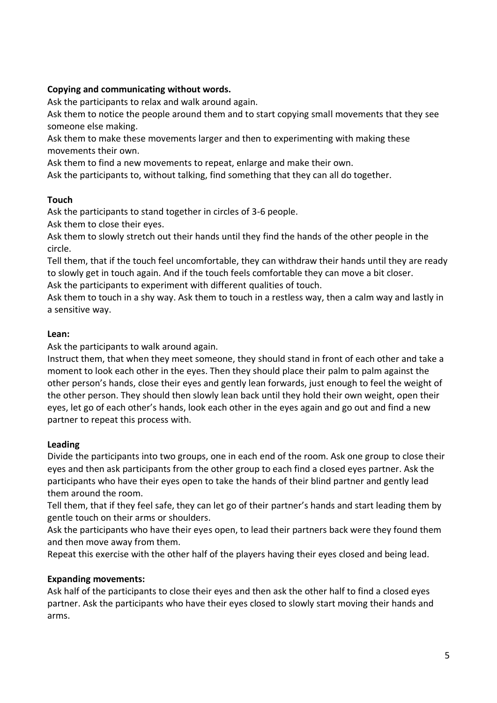# **Copying and communicating without words.**

Ask the participants to relax and walk around again.

Ask them to notice the people around them and to start copying small movements that they see someone else making.

Ask them to make these movements larger and then to experimenting with making these movements their own.

Ask them to find a new movements to repeat, enlarge and make their own.

Ask the participants to, without talking, find something that they can all do together.

# **Touch**

Ask the participants to stand together in circles of 3-6 people.

Ask them to close their eyes.

Ask them to slowly stretch out their hands until they find the hands of the other people in the circle.

Tell them, that if the touch feel uncomfortable, they can withdraw their hands until they are ready to slowly get in touch again. And if the touch feels comfortable they can move a bit closer.

Ask the participants to experiment with different qualities of touch.

Ask them to touch in a shy way. Ask them to touch in a restless way, then a calm way and lastly in a sensitive way.

# **Lean:**

Ask the participants to walk around again.

Instruct them, that when they meet someone, they should stand in front of each other and take a moment to look each other in the eyes. Then they should place their palm to palm against the other person's hands, close their eyes and gently lean forwards, just enough to feel the weight of the other person. They should then slowly lean back until they hold their own weight, open their eyes, let go of each other's hands, look each other in the eyes again and go out and find a new partner to repeat this process with.

# **Leading**

Divide the participants into two groups, one in each end of the room. Ask one group to close their eyes and then ask participants from the other group to each find a closed eyes partner. Ask the participants who have their eyes open to take the hands of their blind partner and gently lead them around the room.

Tell them, that if they feel safe, they can let go of their partner's hands and start leading them by gentle touch on their arms or shoulders.

Ask the participants who have their eyes open, to lead their partners back were they found them and then move away from them.

Repeat this exercise with the other half of the players having their eyes closed and being lead.

# **Expanding movements:**

Ask half of the participants to close their eyes and then ask the other half to find a closed eyes partner. Ask the participants who have their eyes closed to slowly start moving their hands and arms.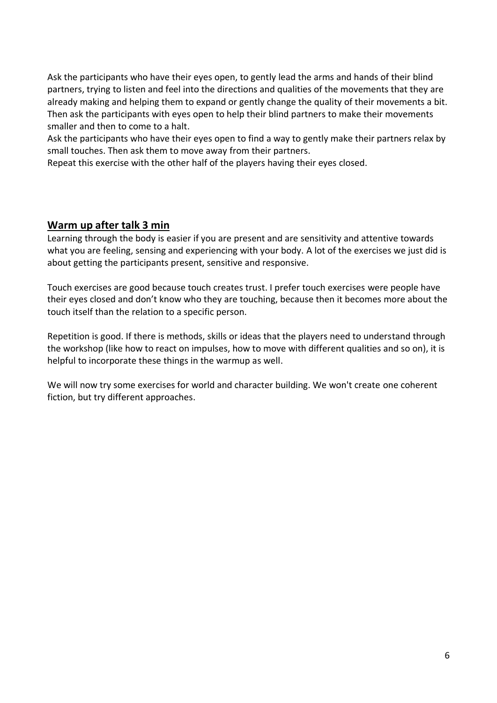Ask the participants who have their eyes open, to gently lead the arms and hands of their blind partners, trying to listen and feel into the directions and qualities of the movements that they are already making and helping them to expand or gently change the quality of their movements a bit. Then ask the participants with eyes open to help their blind partners to make their movements smaller and then to come to a halt.

Ask the participants who have their eyes open to find a way to gently make their partners relax by small touches. Then ask them to move away from their partners.

Repeat this exercise with the other half of the players having their eyes closed.

# **Warm up after talk 3 min**

Learning through the body is easier if you are present and are sensitivity and attentive towards what you are feeling, sensing and experiencing with your body. A lot of the exercises we just did is about getting the participants present, sensitive and responsive.

Touch exercises are good because touch creates trust. I prefer touch exercises were people have their eyes closed and don't know who they are touching, because then it becomes more about the touch itself than the relation to a specific person.

Repetition is good. If there is methods, skills or ideas that the players need to understand through the workshop (like how to react on impulses, how to move with different qualities and so on), it is helpful to incorporate these things in the warmup as well.

We will now try some exercises for world and character building. We won't create one coherent fiction, but try different approaches.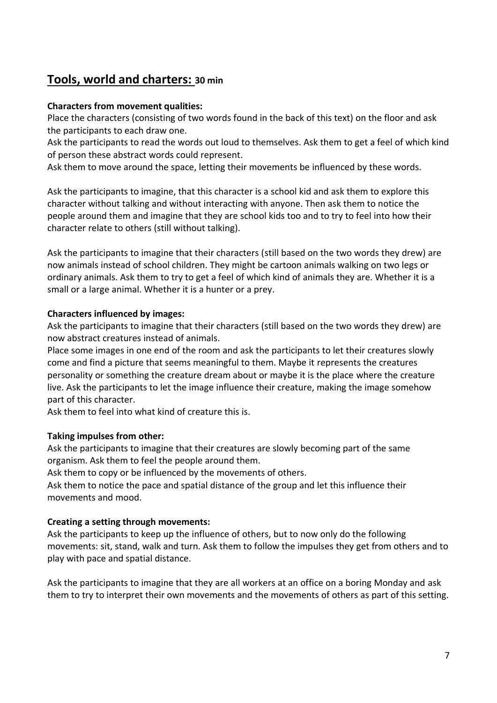# **Tools, world and charters: 30 min**

# **Characters from movement qualities:**

Place the characters (consisting of two words found in the back of this text) on the floor and ask the participants to each draw one.

Ask the participants to read the words out loud to themselves. Ask them to get a feel of which kind of person these abstract words could represent.

Ask them to move around the space, letting their movements be influenced by these words.

Ask the participants to imagine, that this character is a school kid and ask them to explore this character without talking and without interacting with anyone. Then ask them to notice the people around them and imagine that they are school kids too and to try to feel into how their character relate to others (still without talking).

Ask the participants to imagine that their characters (still based on the two words they drew) are now animals instead of school children. They might be cartoon animals walking on two legs or ordinary animals. Ask them to try to get a feel of which kind of animals they are. Whether it is a small or a large animal. Whether it is a hunter or a prey.

# **Characters influenced by images:**

Ask the participants to imagine that their characters (still based on the two words they drew) are now abstract creatures instead of animals.

Place some images in one end of the room and ask the participants to let their creatures slowly come and find a picture that seems meaningful to them. Maybe it represents the creatures personality or something the creature dream about or maybe it is the place where the creature live. Ask the participants to let the image influence their creature, making the image somehow part of this character.

Ask them to feel into what kind of creature this is.

# **Taking impulses from other:**

Ask the participants to imagine that their creatures are slowly becoming part of the same organism. Ask them to feel the people around them.

Ask them to copy or be influenced by the movements of others.

Ask them to notice the pace and spatial distance of the group and let this influence their movements and mood.

# **Creating a setting through movements:**

Ask the participants to keep up the influence of others, but to now only do the following movements: sit, stand, walk and turn. Ask them to follow the impulses they get from others and to play with pace and spatial distance.

Ask the participants to imagine that they are all workers at an office on a boring Monday and ask them to try to interpret their own movements and the movements of others as part of this setting.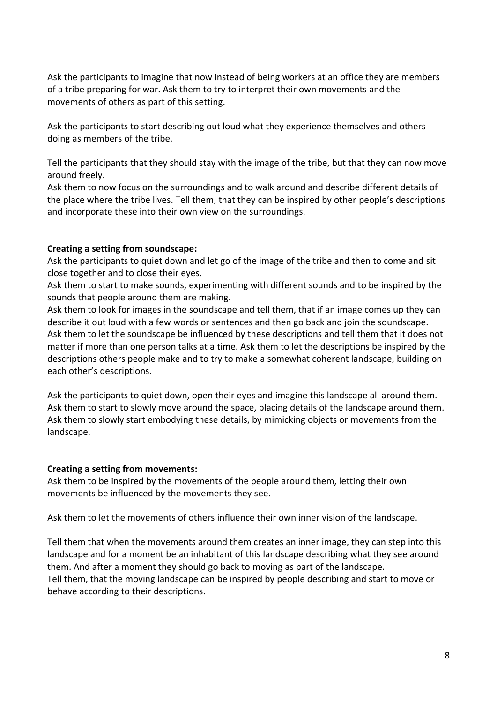Ask the participants to imagine that now instead of being workers at an office they are members of a tribe preparing for war. Ask them to try to interpret their own movements and the movements of others as part of this setting.

Ask the participants to start describing out loud what they experience themselves and others doing as members of the tribe.

Tell the participants that they should stay with the image of the tribe, but that they can now move around freely.

Ask them to now focus on the surroundings and to walk around and describe different details of the place where the tribe lives. Tell them, that they can be inspired by other people's descriptions and incorporate these into their own view on the surroundings.

#### **Creating a setting from soundscape:**

Ask the participants to quiet down and let go of the image of the tribe and then to come and sit close together and to close their eyes.

Ask them to start to make sounds, experimenting with different sounds and to be inspired by the sounds that people around them are making.

Ask them to look for images in the soundscape and tell them, that if an image comes up they can describe it out loud with a few words or sentences and then go back and join the soundscape. Ask them to let the soundscape be influenced by these descriptions and tell them that it does not matter if more than one person talks at a time. Ask them to let the descriptions be inspired by the descriptions others people make and to try to make a somewhat coherent landscape, building on each other's descriptions.

Ask the participants to quiet down, open their eyes and imagine this landscape all around them. Ask them to start to slowly move around the space, placing details of the landscape around them. Ask them to slowly start embodying these details, by mimicking objects or movements from the landscape.

#### **Creating a setting from movements:**

Ask them to be inspired by the movements of the people around them, letting their own movements be influenced by the movements they see.

Ask them to let the movements of others influence their own inner vision of the landscape.

Tell them that when the movements around them creates an inner image, they can step into this landscape and for a moment be an inhabitant of this landscape describing what they see around them. And after a moment they should go back to moving as part of the landscape. Tell them, that the moving landscape can be inspired by people describing and start to move or behave according to their descriptions.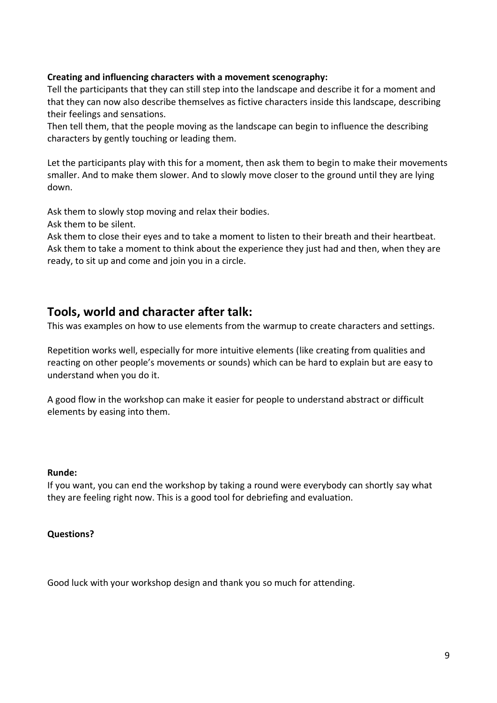#### **Creating and influencing characters with a movement scenography:**

Tell the participants that they can still step into the landscape and describe it for a moment and that they can now also describe themselves as fictive characters inside this landscape, describing their feelings and sensations.

Then tell them, that the people moving as the landscape can begin to influence the describing characters by gently touching or leading them.

Let the participants play with this for a moment, then ask them to begin to make their movements smaller. And to make them slower. And to slowly move closer to the ground until they are lying down.

Ask them to slowly stop moving and relax their bodies.

Ask them to be silent.

Ask them to close their eyes and to take a moment to listen to their breath and their heartbeat. Ask them to take a moment to think about the experience they just had and then, when they are ready, to sit up and come and join you in a circle.

# **Tools, world and character after talk:**

This was examples on how to use elements from the warmup to create characters and settings.

Repetition works well, especially for more intuitive elements (like creating from qualities and reacting on other people's movements or sounds) which can be hard to explain but are easy to understand when you do it.

A good flow in the workshop can make it easier for people to understand abstract or difficult elements by easing into them.

#### **Runde:**

If you want, you can end the workshop by taking a round were everybody can shortly say what they are feeling right now. This is a good tool for debriefing and evaluation.

# **Questions?**

Good luck with your workshop design and thank you so much for attending.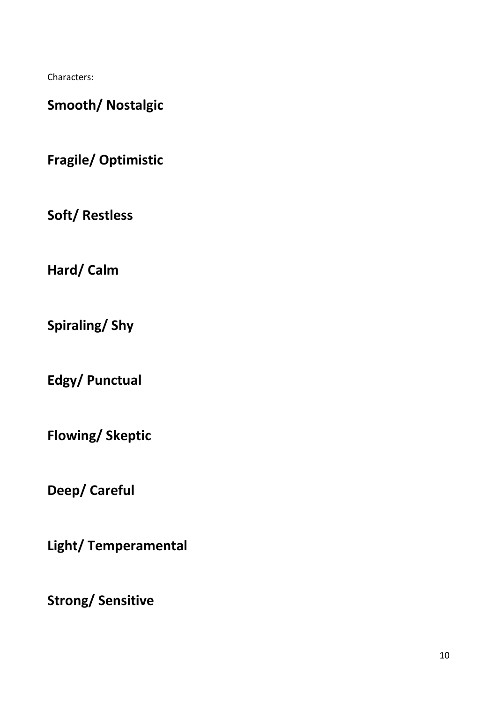Characters:

**Smooth/ Nostalgic**

**Fragile/ Optimistic**

**Soft/ Restless**

**Hard/ Calm**

**Spiraling/ Shy**

**Edgy/ Punctual**

**Flowing/ Skeptic**

**Deep/ Careful**

**Light/ Temperamental**

**Strong/ Sensitive**